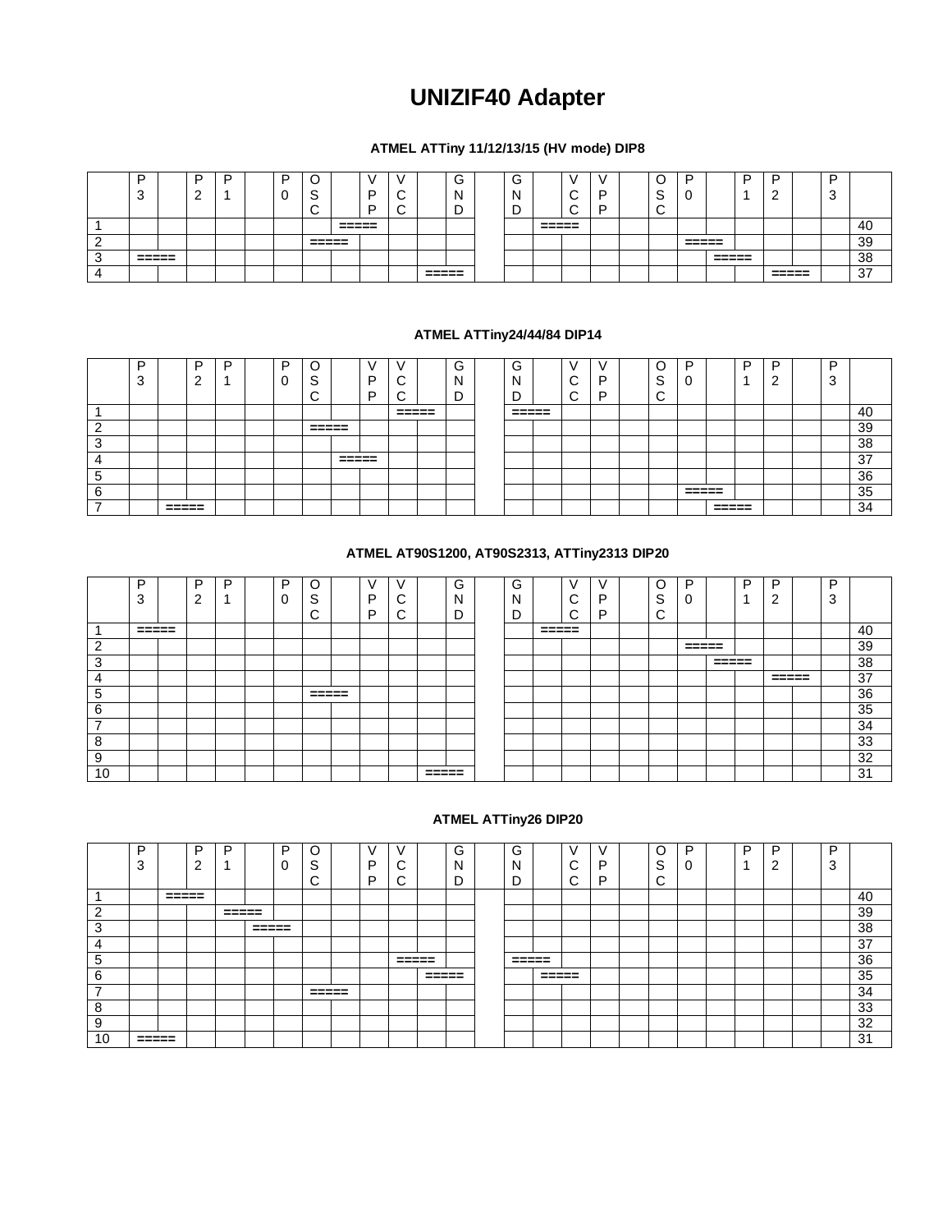# **UNIZIF40 Adapter**

## **ATMEL ATTiny 11/12/13/15 (HV mode) DIP8**

| -                | D | D | D |                                    |                  |   |   |                  | ∽<br>v | ີ |                  |        |  | ∼      |                  |                  | - | -                |   |    |
|------------------|---|---|---|------------------------------------|------------------|---|---|------------------|--------|---|------------------|--------|--|--------|------------------|------------------|---|------------------|---|----|
| c<br>            | - |   |   | $\sim$<br>$\overline{\phantom{a}}$ |                  | D | ⌒ |                  | N      |   |                  | ⌒      |  | ⌒<br>╰ |                  |                  |   |                  | ັ |    |
|                  |   |   |   | ╭<br>∼                             |                  | ∽ | ╭ |                  | -<br>ັ | - |                  | ∽<br>∼ |  | ∽<br>∼ |                  |                  |   |                  |   |    |
|                  |   |   |   |                                    | ------<br>------ |   |   |                  |        |   | ------<br>------ |        |  |        |                  |                  |   |                  |   | 40 |
|                  |   |   |   | ------<br>------                   |                  |   |   |                  |        |   |                  |        |  |        | ------<br>------ |                  |   |                  |   | 39 |
| ------<br>------ |   |   |   |                                    |                  |   |   |                  |        |   |                  |        |  |        |                  | ------<br>------ |   |                  |   | 38 |
|                  |   |   |   |                                    |                  |   |   | ------<br>------ |        |   |                  |        |  |        |                  |                  |   | ------<br>------ |   | 37 |

#### **ATMEL ATTiny24/44/84 DIP14**

|                  | D<br>$\sim$<br>د |               | D<br>c<br>_ | D | D<br>∽ | <u>_</u><br>ت<br>⌒<br>ີ |                | D<br>D | ⌒<br>◡<br>$\sim$<br>◡ | G<br>N<br>-<br>◡ | $\sim$<br>G<br>N<br>- | $\sim$<br>ັ<br>⌒<br>ີ | Ð<br>c | C<br>$\sim$<br>o<br>⌒<br>◡ | D<br>U |               | D | D<br>c<br>_ | D<br>$\sqrt{2}$<br>د، |    |
|------------------|------------------|---------------|-------------|---|--------|-------------------------|----------------|--------|-----------------------|------------------|-----------------------|-----------------------|--------|----------------------------|--------|---------------|---|-------------|-----------------------|----|
|                  |                  |               |             |   |        |                         |                |        | ------<br>-----       |                  | ------<br>----        |                       |        |                            |        |               |   |             |                       | 40 |
| ◠                |                  |               |             |   |        | ------<br>----          |                |        |                       |                  |                       |                       |        |                            |        |               |   |             |                       | 39 |
| $\sqrt{2}$<br>د، |                  |               |             |   |        |                         |                |        |                       |                  |                       |                       |        |                            |        |               |   |             |                       | 38 |
|                  |                  |               |             |   |        |                         | ------<br>---- |        |                       |                  |                       |                       |        |                            |        |               |   |             |                       | 37 |
| J                |                  |               |             |   |        |                         |                |        |                       |                  |                       |                       |        |                            |        |               |   |             |                       | 36 |
| ĥ.               |                  |               |             |   |        |                         |                |        |                       |                  |                       |                       |        |                            | =====  |               |   |             |                       | 35 |
|                  |                  | -----<br>---- |             |   |        |                         |                |        |                       |                  |                       |                       |        |                            |        | -----<br>---- |   |             |                       | 34 |

## **ATMEL AT90S1200, AT90S2313, ATTiny2313 DIP20**

|                          | D<br>ີ<br>ື | D<br>$\sim$<br>▵ | D | P | C<br>$\sim$<br>◡<br>$\sim$<br>ັ | D<br>D | ⌒<br>ີ<br>⌒ |                     | G<br>- | G<br>N<br>− |       | v<br>⌒<br>ັ<br>$\sim$<br>ີ | г<br>∍ | C<br>S<br>⌒<br>ີ | D               |       | P | D<br>◠ | D<br>◠<br>C, |    |
|--------------------------|-------------|------------------|---|---|---------------------------------|--------|-------------|---------------------|--------|-------------|-------|----------------------------|--------|------------------|-----------------|-------|---|--------|--------------|----|
|                          | $= 2222$    |                  |   |   |                                 |        |             |                     |        |             | ===== |                            |        |                  |                 |       |   |        |              | 40 |
| ົ                        |             |                  |   |   |                                 |        |             |                     |        |             |       |                            |        |                  | $=$ $=$ $=$ $=$ |       |   |        |              | 39 |
| 3                        |             |                  |   |   |                                 |        |             |                     |        |             |       |                            |        |                  |                 | ===== |   |        |              | 38 |
| ┑                        |             |                  |   |   |                                 |        |             |                     |        |             |       |                            |        |                  |                 |       |   |        |              | 37 |
| 5                        |             |                  |   |   | =====                           |        |             |                     |        |             |       |                            |        |                  |                 |       |   |        |              | 36 |
| $\sim$<br>6              |             |                  |   |   |                                 |        |             |                     |        |             |       |                            |        |                  |                 |       |   |        |              | 35 |
| $\overline{\phantom{a}}$ |             |                  |   |   |                                 |        |             |                     |        |             |       |                            |        |                  |                 |       |   |        |              | 34 |
| 8                        |             |                  |   |   |                                 |        |             |                     |        |             |       |                            |        |                  |                 |       |   |        |              | 33 |
| 9                        |             |                  |   |   |                                 |        |             |                     |        |             |       |                            |        |                  |                 |       |   |        |              | 32 |
| 10                       |             |                  |   |   |                                 |        |             | $=$ $=$ $=$ $=$ $=$ |        |             |       |                            |        |                  |                 |       |   |        |              | 31 |

### **ATMEL ATTiny26 DIP20**

|                          | P                   |                     | D      | ח        |                     | D |          |   |                 |                     | ⌒<br>G | ⌒<br>G |                     |        |  |             | D | D | ה | D |    |
|--------------------------|---------------------|---------------------|--------|----------|---------------------|---|----------|---|-----------------|---------------------|--------|--------|---------------------|--------|--|-------------|---|---|---|---|----|
|                          | ົ<br>د.             |                     | r<br>∠ |          |                     |   | ⌒<br>o   | D | ⌒               |                     | N      | N      |                     | ⌒<br>ັ |  | $\sim$<br>v |   |   |   | 3 |    |
|                          |                     |                     |        |          |                     |   | ⌒<br>. . | D | ⌒<br>ີ          |                     | −      | -      |                     | ⌒      |  | ⌒<br>ັ      |   |   |   |   |    |
|                          |                     | $=$ $=$ $=$ $=$ $=$ |        |          |                     |   |          |   |                 |                     |        |        |                     |        |  |             |   |   |   |   | 40 |
| റ                        |                     |                     |        | $= 2222$ |                     |   |          |   |                 |                     |        |        |                     |        |  |             |   |   |   |   | 39 |
| 3                        |                     |                     |        |          | $=$ $=$ $=$ $=$ $=$ |   |          |   |                 |                     |        |        |                     |        |  |             |   |   |   |   | 38 |
| 4                        |                     |                     |        |          |                     |   |          |   |                 |                     |        |        |                     |        |  |             |   |   |   |   | 37 |
| 5                        |                     |                     |        |          |                     |   |          |   | $=$ $=$ $=$ $=$ |                     |        | =====  |                     |        |  |             |   |   |   |   | 36 |
| 6                        |                     |                     |        |          |                     |   |          |   |                 | $=$ $=$ $=$ $=$ $=$ |        |        | $=$ $=$ $=$ $=$ $=$ |        |  |             |   |   |   |   | 35 |
| $\overline{\phantom{a}}$ |                     |                     |        |          |                     |   | =====    |   |                 |                     |        |        |                     |        |  |             |   |   |   |   | 34 |
| 8                        |                     |                     |        |          |                     |   |          |   |                 |                     |        |        |                     |        |  |             |   |   |   |   | 33 |
| 9                        |                     |                     |        |          |                     |   |          |   |                 |                     |        |        |                     |        |  |             |   |   |   |   | 32 |
| 10                       | $=$ $=$ $=$ $=$ $=$ |                     |        |          |                     |   |          |   |                 |                     |        |        |                     |        |  |             |   |   |   |   | 31 |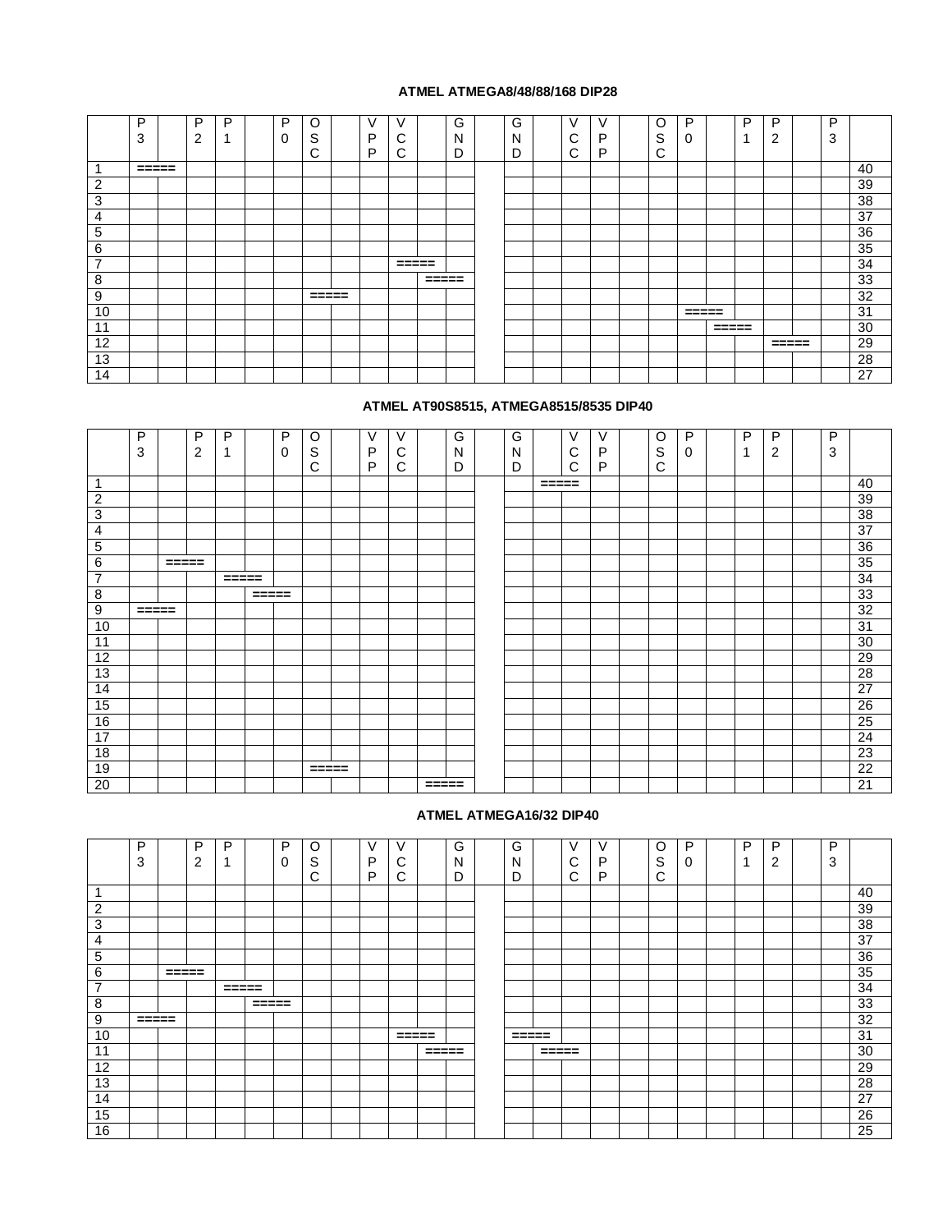#### **ATMEL ATMEGA8/48/88/168 DIP28**

|                          | P            | D           | D | P | C                   | V |                 |                     | $\sim$<br>G | G | $\vee$ | v | O      | P                   |                     | D | D                   | D |    |
|--------------------------|--------------|-------------|---|---|---------------------|---|-----------------|---------------------|-------------|---|--------|---|--------|---------------------|---------------------|---|---------------------|---|----|
|                          | $\sim$<br>د. | $\sim$<br>∠ |   | U | ົ<br>১              | P | ີ               |                     | N           | N | ັ      | D | S      | ŧ.                  |                     | ٠ | ◠                   | 3 |    |
|                          |              |             |   |   | ⌒<br>ັ              | Þ | ⌒<br>U          |                     | D           | r | ⌒<br>ັ | D | ⌒<br>ັ |                     |                     |   |                     |   |    |
|                          | $= 2222$     |             |   |   |                     |   |                 |                     |             |   |        |   |        |                     |                     |   |                     |   | 40 |
| $\overline{2}$           |              |             |   |   |                     |   |                 |                     |             |   |        |   |        |                     |                     |   |                     |   | 39 |
| 3                        |              |             |   |   |                     |   |                 |                     |             |   |        |   |        |                     |                     |   |                     |   | 38 |
| 4                        |              |             |   |   |                     |   |                 |                     |             |   |        |   |        |                     |                     |   |                     |   | 37 |
| 5                        |              |             |   |   |                     |   |                 |                     |             |   |        |   |        |                     |                     |   |                     |   | 36 |
| 6                        |              |             |   |   |                     |   |                 |                     |             |   |        |   |        |                     |                     |   |                     |   | 35 |
| $\overline{\phantom{a}}$ |              |             |   |   |                     |   | $=$ $=$ $=$ $=$ |                     |             |   |        |   |        |                     |                     |   |                     |   | 34 |
| 8                        |              |             |   |   |                     |   |                 | $=$ $=$ $=$ $=$ $=$ |             |   |        |   |        |                     |                     |   |                     |   | 33 |
| 9                        |              |             |   |   | $=$ $=$ $=$ $=$ $=$ |   |                 |                     |             |   |        |   |        |                     |                     |   |                     |   | 32 |
| 10                       |              |             |   |   |                     |   |                 |                     |             |   |        |   |        | $=$ $=$ $=$ $=$ $=$ |                     |   |                     |   | 31 |
| 11                       |              |             |   |   |                     |   |                 |                     |             |   |        |   |        |                     | $=$ $=$ $=$ $=$ $=$ |   |                     |   | 30 |
| 12                       |              |             |   |   |                     |   |                 |                     |             |   |        |   |        |                     |                     |   | $=$ $=$ $=$ $=$ $=$ |   | 29 |
| 13                       |              |             |   |   |                     |   |                 |                     |             |   |        |   |        |                     |                     |   |                     |   | 28 |
| 14                       |              |             |   |   |                     |   |                 |                     |             |   |        |   |        |                     |                     |   |                     |   | 27 |

## **ATMEL AT90S8515, ATMEGA8515/8535 DIP40**

|                | P<br>3 |         | P<br>2 | P           |                     | P<br>$\Omega$ | O<br>ົ<br>১ | V<br>P | V<br>⌒<br>◡ |                     | G<br>N | G<br>N |       | $\vee$<br>⌒<br>U | V<br>P | O<br>S | P<br>O | P | P<br>$\overline{2}$ | P<br>3 |    |
|----------------|--------|---------|--------|-------------|---------------------|---------------|-------------|--------|-------------|---------------------|--------|--------|-------|------------------|--------|--------|--------|---|---------------------|--------|----|
|                |        |         |        |             |                     |               | ⌒<br>◡      | P      | ⌒<br>◡      |                     | D      | D      |       | C                | Þ      | С      |        |   |                     |        |    |
| -4             |        |         |        |             |                     |               |             |        |             |                     |        |        | ===== |                  |        |        |        |   |                     |        | 40 |
| $\overline{2}$ |        |         |        |             |                     |               |             |        |             |                     |        |        |       |                  |        |        |        |   |                     |        | 39 |
| 3              |        |         |        |             |                     |               |             |        |             |                     |        |        |       |                  |        |        |        |   |                     |        | 38 |
| 4              |        |         |        |             |                     |               |             |        |             |                     |        |        |       |                  |        |        |        |   |                     |        | 37 |
| 5              |        |         |        |             |                     |               |             |        |             |                     |        |        |       |                  |        |        |        |   |                     |        | 36 |
| 6              |        | $=====$ |        |             |                     |               |             |        |             |                     |        |        |       |                  |        |        |        |   |                     |        | 35 |
| $\overline{7}$ |        |         |        | $= = = = =$ |                     |               |             |        |             |                     |        |        |       |                  |        |        |        |   |                     |        | 34 |
| 8              |        |         |        |             | $=$ $=$ $=$ $=$ $=$ |               |             |        |             |                     |        |        |       |                  |        |        |        |   |                     |        | 33 |
| 9              | =====  |         |        |             |                     |               |             |        |             |                     |        |        |       |                  |        |        |        |   |                     |        | 32 |
| 10             |        |         |        |             |                     |               |             |        |             |                     |        |        |       |                  |        |        |        |   |                     |        | 31 |
| 11             |        |         |        |             |                     |               |             |        |             |                     |        |        |       |                  |        |        |        |   |                     |        | 30 |
| 12             |        |         |        |             |                     |               |             |        |             |                     |        |        |       |                  |        |        |        |   |                     |        | 29 |
| 13             |        |         |        |             |                     |               |             |        |             |                     |        |        |       |                  |        |        |        |   |                     |        | 28 |
| 14             |        |         |        |             |                     |               |             |        |             |                     |        |        |       |                  |        |        |        |   |                     |        | 27 |
| 15             |        |         |        |             |                     |               |             |        |             |                     |        |        |       |                  |        |        |        |   |                     |        | 26 |
| 16             |        |         |        |             |                     |               |             |        |             |                     |        |        |       |                  |        |        |        |   |                     |        | 25 |
| 17             |        |         |        |             |                     |               |             |        |             |                     |        |        |       |                  |        |        |        |   |                     |        | 24 |
| 18             |        |         |        |             |                     |               |             |        |             |                     |        |        |       |                  |        |        |        |   |                     |        | 23 |
| 19             |        |         |        |             |                     |               | =====       |        |             |                     |        |        |       |                  |        |        |        |   |                     |        | 22 |
| 20             |        |         |        |             |                     |               |             |        |             | $=$ $=$ $=$ $=$ $=$ |        |        |       |                  |        |        |        |   |                     |        | 21 |

#### **ATMEL ATMEGA16/32 DIP40**

|                | P<br>ົ<br>3         |                     | Þ<br>$\sim$<br>∠ | D           |         | P<br>U | O<br>$\sim$<br>১<br>⌒<br>ι, | $\mathcal{L}$<br>P<br>P | ⌒<br>U<br>⌒<br>ι,   |                     | ⌒<br>G<br>Ν<br>D | G<br>N<br>D         |         | V<br>⌒<br>ັ<br>⌒ | ν<br>D<br>D | O<br>S<br>⌒<br>◡ | P<br>U | D<br>и | D<br>◠<br>ے | D<br>3 |    |
|----------------|---------------------|---------------------|------------------|-------------|---------|--------|-----------------------------|-------------------------|---------------------|---------------------|------------------|---------------------|---------|------------------|-------------|------------------|--------|--------|-------------|--------|----|
|                |                     |                     |                  |             |         |        |                             |                         |                     |                     |                  |                     |         |                  |             |                  |        |        |             |        | 40 |
| $\overline{2}$ |                     |                     |                  |             |         |        |                             |                         |                     |                     |                  |                     |         |                  |             |                  |        |        |             |        | 39 |
| 3              |                     |                     |                  |             |         |        |                             |                         |                     |                     |                  |                     |         |                  |             |                  |        |        |             |        | 38 |
| 4              |                     |                     |                  |             |         |        |                             |                         |                     |                     |                  |                     |         |                  |             |                  |        |        |             |        | 37 |
| 5              |                     |                     |                  |             |         |        |                             |                         |                     |                     |                  |                     |         |                  |             |                  |        |        |             |        | 36 |
| 6              |                     | $=$ $=$ $=$ $=$ $=$ |                  |             |         |        |                             |                         |                     |                     |                  |                     |         |                  |             |                  |        |        |             |        | 35 |
| $\overline{7}$ |                     |                     |                  | $= = = = =$ |         |        |                             |                         |                     |                     |                  |                     |         |                  |             |                  |        |        |             |        | 34 |
| 8              |                     |                     |                  |             | $=====$ |        |                             |                         |                     |                     |                  |                     |         |                  |             |                  |        |        |             |        | 33 |
| 9              | $=$ $=$ $=$ $=$ $=$ |                     |                  |             |         |        |                             |                         |                     |                     |                  |                     |         |                  |             |                  |        |        |             |        | 32 |
| 10             |                     |                     |                  |             |         |        |                             |                         | $=$ $=$ $=$ $=$ $=$ |                     |                  | $=$ $=$ $=$ $=$ $=$ |         |                  |             |                  |        |        |             |        | 31 |
| 11             |                     |                     |                  |             |         |        |                             |                         |                     | $=$ $=$ $=$ $=$ $=$ |                  |                     | $=====$ |                  |             |                  |        |        |             |        | 30 |
| 12             |                     |                     |                  |             |         |        |                             |                         |                     |                     |                  |                     |         |                  |             |                  |        |        |             |        | 29 |
| 13             |                     |                     |                  |             |         |        |                             |                         |                     |                     |                  |                     |         |                  |             |                  |        |        |             |        | 28 |
| 14             |                     |                     |                  |             |         |        |                             |                         |                     |                     |                  |                     |         |                  |             |                  |        |        |             |        | 27 |
| 15             |                     |                     |                  |             |         |        |                             |                         |                     |                     |                  |                     |         |                  |             |                  |        |        |             |        | 26 |
| 16             |                     |                     |                  |             |         |        |                             |                         |                     |                     |                  |                     |         |                  |             |                  |        |        |             |        | 25 |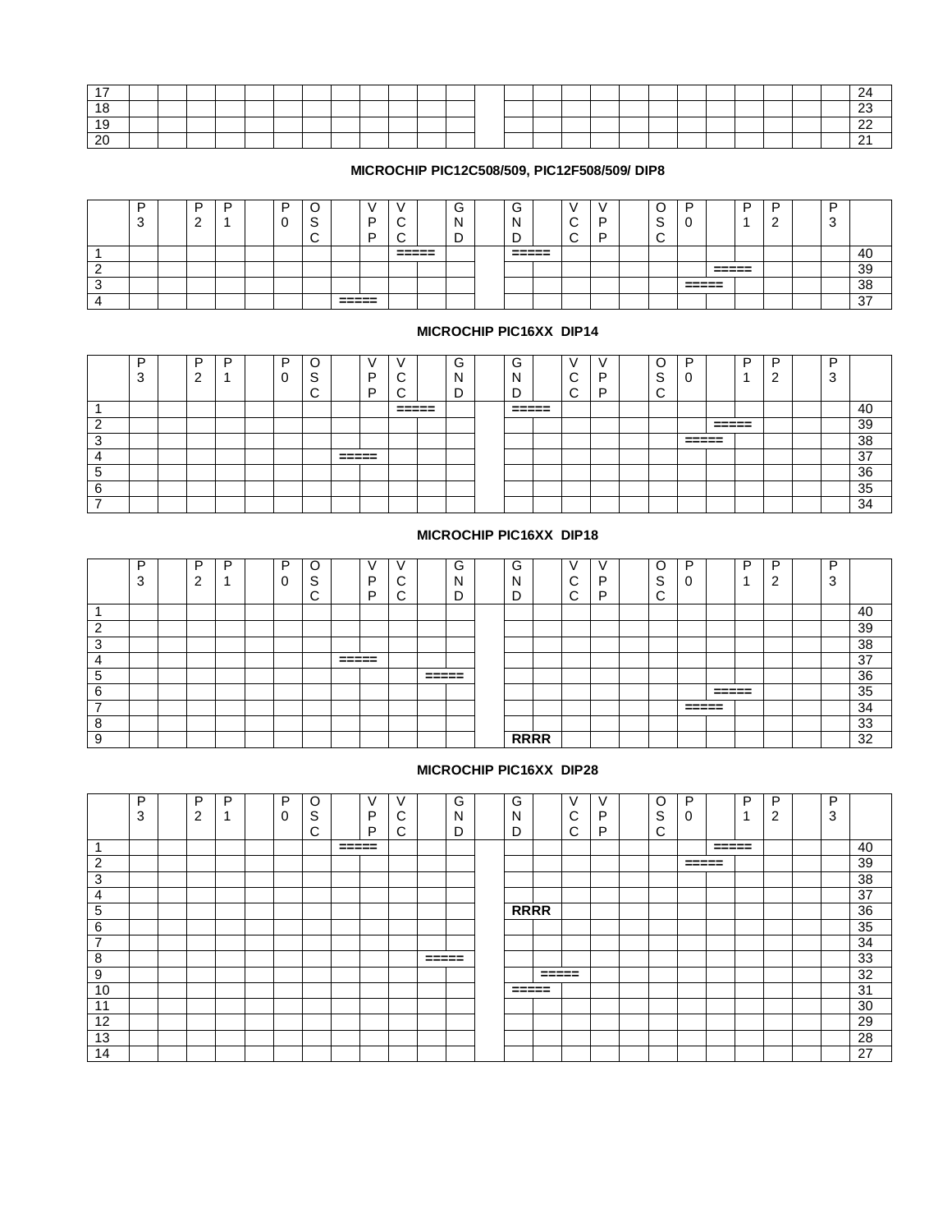| .       |  |  |  |  |  |  |  |  |  |  |  |  |               |
|---------|--|--|--|--|--|--|--|--|--|--|--|--|---------------|
| . .     |  |  |  |  |  |  |  |  |  |  |  |  | $\sim$<br>- 7 |
|         |  |  |  |  |  |  |  |  |  |  |  |  | $\sim$<br>- - |
| ററ<br>∼ |  |  |  |  |  |  |  |  |  |  |  |  | - -           |

### **MICROCHIP PIC12C508/509, PIC12F508/509/ DIP8**

|   | Ð<br>$\sqrt{2}$<br>ີ | ┍<br>- | D | - | ⌒<br>∼ |                  | D<br>Е |       |        | $\sqrt{2}$<br>v<br>M<br>-<br>◡ | ∽<br>-<br>c<br>N<br>− | $\sim$<br>$\sim$ | - | $\sim$<br>$\overline{\phantom{a}}$<br>╭ | n                |                  | D | - | D<br>◠<br>u |    |
|---|----------------------|--------|---|---|--------|------------------|--------|-------|--------|--------------------------------|-----------------------|------------------|---|-----------------------------------------|------------------|------------------|---|---|-------------|----|
|   |                      |        |   |   |        |                  |        | ----- | ------ |                                | ------<br>-----       |                  |   |                                         |                  |                  |   |   |             | 40 |
|   |                      |        |   |   |        |                  |        |       |        |                                |                       |                  |   |                                         |                  | ------<br>------ |   |   |             | 39 |
| J |                      |        |   |   |        |                  |        |       |        |                                |                       |                  |   |                                         | ------<br>------ |                  |   |   |             | 38 |
|   |                      |        |   |   |        | ------<br>------ |        |       |        |                                |                       |                  |   |                                         |                  |                  |   |   |             | 37 |

#### **MICROCHIP PIC16XX DIP14**

|                                    | D | D | D | D |                 |                  |   |                | $\sim$<br>⊖ | ⌒<br>G          |   |  | ∽           | ח               |                | D | D | D |          |
|------------------------------------|---|---|---|---|-----------------|------------------|---|----------------|-------------|-----------------|---|--|-------------|-----------------|----------------|---|---|---|----------|
|                                    |   |   |   |   | <u></u><br>- 10 |                  | D |                | N           | N               | ⌒ |  | $\sim$<br>Ë |                 |                |   |   | u |          |
|                                    |   |   |   |   | ⌒               |                  | □ |                |             |                 | ⌒ |  | ⌒           |                 |                |   |   |   |          |
|                                    |   |   |   |   |                 |                  |   | ------<br>---- |             | ------<br>----- |   |  |             |                 |                |   |   |   | 40       |
| ⌒                                  |   |   |   |   |                 |                  |   |                |             |                 |   |  |             |                 | ------<br>---- |   |   |   | 39       |
| ີ<br>ت                             |   |   |   |   |                 |                  |   |                |             |                 |   |  |             | ------<br>----- |                |   |   |   | 38       |
|                                    |   |   |   |   |                 | ------<br>------ |   |                |             |                 |   |  |             |                 |                |   |   |   | דפ<br>7٥ |
| $\overline{\phantom{0}}$<br>∽<br>J |   |   |   |   |                 |                  |   |                |             |                 |   |  |             |                 |                |   |   |   | 36       |
| 6                                  |   |   |   |   |                 |                  |   |                |             |                 |   |  |             |                 |                |   |   |   | 35       |
| $\overline{\phantom{0}}$           |   |   |   |   |                 |                  |   |                |             |                 |   |  |             |                 |                |   |   |   | 34       |

## **MICROCHIP PIC16XX DIP18**

|                          | D<br>3 | D<br>c<br>_ | D | P<br>╭<br>υ | $\sim$<br>v<br>$\sim$ |       | $\vee$<br>P<br>P | ⌒<br>ັ<br>⌒<br>ີ |                | G<br>N<br>∍<br>◡ | $\sim$<br>G<br>N | $\sim$<br>ັ<br>$\sim$<br>ັ | D<br>D | C<br>S<br>$\sim$<br>ີ | D     |       | D | D<br>$\sqrt{2}$ | D<br>$\Omega$<br>Ő |    |
|--------------------------|--------|-------------|---|-------------|-----------------------|-------|------------------|------------------|----------------|------------------|------------------|----------------------------|--------|-----------------------|-------|-------|---|-----------------|--------------------|----|
|                          |        |             |   |             |                       |       |                  |                  |                |                  |                  |                            |        |                       |       |       |   |                 |                    | 40 |
| $\sim$                   |        |             |   |             |                       |       |                  |                  |                |                  |                  |                            |        |                       |       |       |   |                 |                    | 39 |
| $\sim$<br>J              |        |             |   |             |                       |       |                  |                  |                |                  |                  |                            |        |                       |       |       |   |                 |                    | 38 |
|                          |        |             |   |             |                       | ===== |                  |                  |                |                  |                  |                            |        |                       |       |       |   |                 |                    | 37 |
| 5                        |        |             |   |             |                       |       |                  |                  | ------<br>____ |                  |                  |                            |        |                       |       |       |   |                 |                    | 36 |
| 6                        |        |             |   |             |                       |       |                  |                  |                |                  |                  |                            |        |                       |       | ===== |   |                 |                    | 35 |
| $\overline{\phantom{a}}$ |        |             |   |             |                       |       |                  |                  |                |                  |                  |                            |        |                       | ===== |       |   |                 |                    | 34 |
| റ<br>o                   |        |             |   |             |                       |       |                  |                  |                |                  |                  |                            |        |                       |       |       |   |                 |                    | 33 |
| $\Omega$                 |        |             |   |             |                       |       |                  |                  |                |                  | <b>RRRR</b>      |                            |        |                       |       |       |   |                 |                    | 32 |

## **MICROCHIP PIC16XX DIP28**

|                          | P<br>$\sim$<br>۰J | D<br>$\sim$<br>▵ | D | P | C<br>$\sim$<br>১<br>⌒<br>ັ | V<br>D<br>D | ⌒ |                     | $\sim$<br>G<br>Ν<br>D | G<br>N<br>┍         |                     | $\vee$<br>⌒<br>ັ<br>⌒ | v<br>D<br>D | O<br>S<br>⌒<br>ັ | D<br>τ.             |                 | D | D<br>⌒ | D<br>3 |    |
|--------------------------|-------------------|------------------|---|---|----------------------------|-------------|---|---------------------|-----------------------|---------------------|---------------------|-----------------------|-------------|------------------|---------------------|-----------------|---|--------|--------|----|
|                          |                   |                  |   |   |                            |             |   |                     |                       |                     |                     |                       |             |                  |                     | $=$ $=$ $=$ $=$ |   |        |        | 40 |
| ົ<br>∠                   |                   |                  |   |   |                            |             |   |                     |                       |                     |                     |                       |             |                  | $=$ $=$ $=$ $=$ $=$ |                 |   |        |        | 39 |
| 3                        |                   |                  |   |   |                            |             |   |                     |                       |                     |                     |                       |             |                  |                     |                 |   |        |        | 38 |
| $\overline{4}$           |                   |                  |   |   |                            |             |   |                     |                       |                     |                     |                       |             |                  |                     |                 |   |        |        | 37 |
| 5                        |                   |                  |   |   |                            |             |   |                     |                       | <b>RRRR</b>         |                     |                       |             |                  |                     |                 |   |        |        | 36 |
| 6                        |                   |                  |   |   |                            |             |   |                     |                       |                     |                     |                       |             |                  |                     |                 |   |        |        | 35 |
| $\overline{\phantom{a}}$ |                   |                  |   |   |                            |             |   |                     |                       |                     |                     |                       |             |                  |                     |                 |   |        |        | 34 |
| 8                        |                   |                  |   |   |                            |             |   | $=$ $=$ $=$ $=$ $=$ |                       |                     |                     |                       |             |                  |                     |                 |   |        |        | 33 |
| 9                        |                   |                  |   |   |                            |             |   |                     |                       |                     | $=$ $=$ $=$ $=$ $=$ |                       |             |                  |                     |                 |   |        |        | 32 |
| 10                       |                   |                  |   |   |                            |             |   |                     |                       | $=$ $=$ $=$ $=$ $=$ |                     |                       |             |                  |                     |                 |   |        |        | 31 |
| 11                       |                   |                  |   |   |                            |             |   |                     |                       |                     |                     |                       |             |                  |                     |                 |   |        |        | 30 |
| 12                       |                   |                  |   |   |                            |             |   |                     |                       |                     |                     |                       |             |                  |                     |                 |   |        |        | 29 |
| 13                       |                   |                  |   |   |                            |             |   |                     |                       |                     |                     |                       |             |                  |                     |                 |   |        |        | 28 |
| 14                       |                   |                  |   |   |                            |             |   |                     |                       |                     |                     |                       |             |                  |                     |                 |   |        |        | 27 |